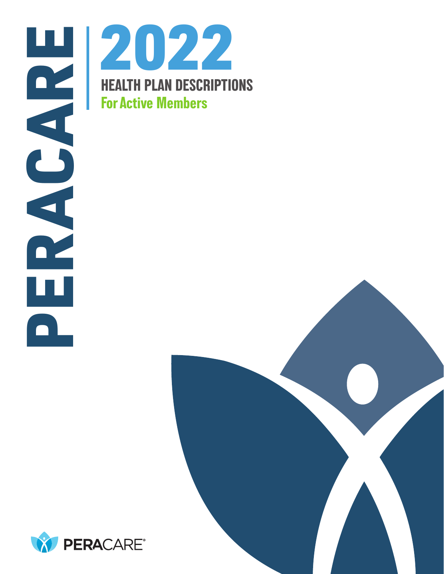





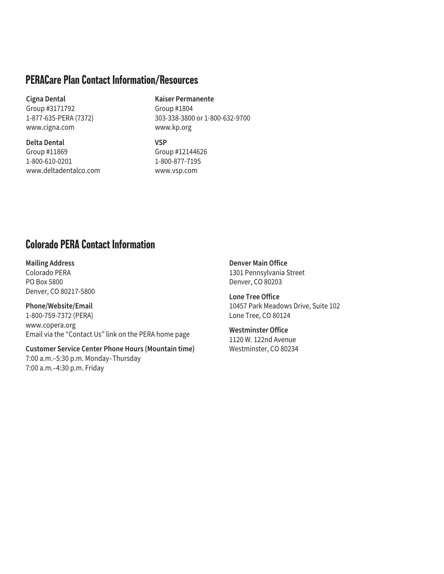# **PERACare Plan Contact Information/Resources**

#### **Cigna Dental**

Group #3171792 1-877-635-PERA (7372) www.cigna.com

**Delta Dental** Group #11869 1-800-610-0201 www.deltadentalco.com

### **Kaiser Permanente**

Group #1804 303-338-3800 or 1-800-632-9700 www.kp.org

**VSP** Group #12144626

1-800-877-7195 www.vsp.com

# **Colorado PERA Contact Information**

**Mailing Address** Colorado PERA PO Box 5800 Denver, CO 80217-5800

**Phone/Website/Email** 1-800-759-7372 (PERA) www.copera.org Email via the "Contact Us" link on the PERA home page

**Customer Service Center Phone Hours (Mountain time)** 7:00 a.m.–5:30 p.m. Monday–Thursday 7:00 a.m.–4:30 p.m. Friday

**Denver Main Office**  1301 Pennsylvania Street Denver, CO 80203

**Lone Tree Office** 10457 Park Meadows Drive, Suite 102 Lone Tree, CO 80124

**Westminster Office** 1120 W. 122nd Avenue Westminster, CO 80234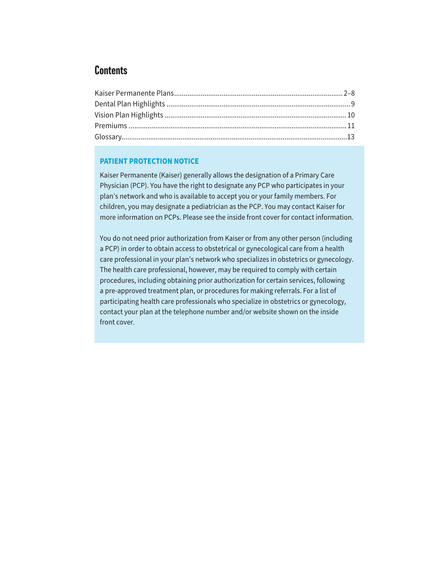# **Contents**

### **PATIENT PROTECTION NOTICE**

Kaiser Permanente (Kaiser) generally allows the designation of a Primary Care Physician (PCP). You have the right to designate any PCP who participates in your plan's network and who is available to accept you or your family members. For children, you may designate a pediatrician as the PCP. You may contact Kaiser for more information on PCPs. Please see the inside front cover for contact information.

You do not need prior authorization from Kaiser or from any other person (including a PCP) in order to obtain access to obstetrical or gynecological care from a health care professional in your plan's network who specializes in obstetrics or gynecology. The health care professional, however, may be required to comply with certain procedures, including obtaining prior authorization for certain services, following a pre-approved treatment plan, or procedures for making referrals. For a list of participating health care professionals who specialize in obstetrics or gynecology, contact your plan at the telephone number and/or website shown on the inside front cover.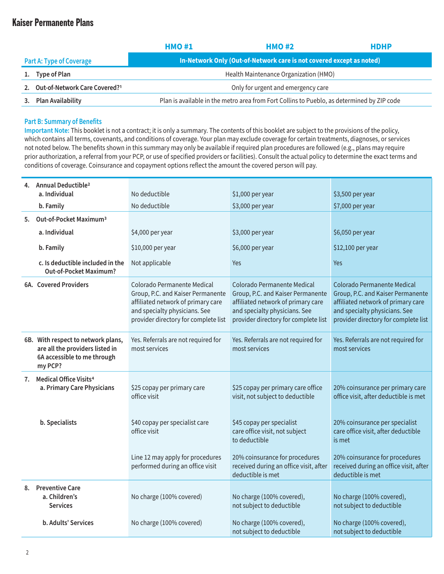|                                 | <b>HMO#1</b>                                                         | <b>HMO#2</b>                                                                               | <b>HDHP</b> |  |  |
|---------------------------------|----------------------------------------------------------------------|--------------------------------------------------------------------------------------------|-------------|--|--|
| <b>Part A: Type of Coverage</b> | In-Network Only (Out-of-Network care is not covered except as noted) |                                                                                            |             |  |  |
| 1. Type of Plan                 |                                                                      | Health Maintenance Organization (HMO)                                                      |             |  |  |
| Out-of-Network Care Covered?1   |                                                                      | Only for urgent and emergency care                                                         |             |  |  |
| Plan Availability               |                                                                      | Plan is available in the metro area from Fort Collins to Pueblo, as determined by ZIP code |             |  |  |

#### **Part B: Summary of Benefits**

**Important Note:** This booklet is not a contract; it is only a summary. The contents of this booklet are subject to the provisions of the policy, which contains all terms, covenants, and conditions of coverage. Your plan may exclude coverage for certain treatments, diagnoses, or services not noted below. The benefits shown in this summary may only be available if required plan procedures are followed (e.g., plans may require prior authorization, a referral from your PCP, or use of specified providers or facilities). Consult the actual policy to determine the exact terms and conditions of coverage. Coinsurance and copayment options reflect the amount the covered person will pay.

|                | Annual Deductible <sup>2</sup>                                                                                  |                                                                                                                                                                                 |                                                                                                                                                                                 |                                                                                                                                                                                        |
|----------------|-----------------------------------------------------------------------------------------------------------------|---------------------------------------------------------------------------------------------------------------------------------------------------------------------------------|---------------------------------------------------------------------------------------------------------------------------------------------------------------------------------|----------------------------------------------------------------------------------------------------------------------------------------------------------------------------------------|
|                | a. Individual                                                                                                   | No deductible                                                                                                                                                                   | \$1,000 per year                                                                                                                                                                | \$3,500 per year                                                                                                                                                                       |
|                | b. Family                                                                                                       | No deductible                                                                                                                                                                   | \$3,000 per year                                                                                                                                                                | \$7,000 per year                                                                                                                                                                       |
| 5.             | Out-of-Pocket Maximum <sup>3</sup>                                                                              |                                                                                                                                                                                 |                                                                                                                                                                                 |                                                                                                                                                                                        |
|                | a. Individual                                                                                                   | \$4,000 per year                                                                                                                                                                | \$3,000 per year                                                                                                                                                                | \$6,050 per year                                                                                                                                                                       |
|                | b. Family                                                                                                       | \$10,000 per year                                                                                                                                                               | \$6,000 per year                                                                                                                                                                | \$12,100 per year                                                                                                                                                                      |
|                | c. Is deductible included in the<br><b>Out-of-Pocket Maximum?</b>                                               | Not applicable                                                                                                                                                                  | <b>Yes</b>                                                                                                                                                                      | Yes                                                                                                                                                                                    |
|                | 6A. Covered Providers                                                                                           | Colorado Permanente Medical<br>Group, P.C. and Kaiser Permanente<br>affiliated network of primary care<br>and specialty physicians. See<br>provider directory for complete list | Colorado Permanente Medical<br>Group, P.C. and Kaiser Permanente<br>affiliated network of primary care<br>and specialty physicians. See<br>provider directory for complete list | <b>Colorado Permanente Medical</b><br>Group, P.C. and Kaiser Permanente<br>affiliated network of primary care<br>and specialty physicians. See<br>provider directory for complete list |
|                | 6B. With respect to network plans,<br>are all the providers listed in<br>6A accessible to me through<br>my PCP? | Yes. Referrals are not required for<br>most services                                                                                                                            | Yes. Referrals are not required for<br>most services                                                                                                                            | Yes. Referrals are not required for<br>most services                                                                                                                                   |
| 7.             | <b>Medical Office Visits<sup>4</sup></b><br>a. Primary Care Physicians                                          | \$25 copay per primary care<br>office visit                                                                                                                                     | \$25 copay per primary care office<br>visit, not subject to deductible                                                                                                          | 20% coinsurance per primary care<br>office visit, after deductible is met                                                                                                              |
| b. Specialists |                                                                                                                 | \$40 copay per specialist care<br>office visit                                                                                                                                  | \$45 copay per specialist<br>care office visit, not subject<br>to deductible                                                                                                    | 20% coinsurance per specialist<br>care office visit, after deductible<br>is met                                                                                                        |
|                |                                                                                                                 | Line 12 may apply for procedures<br>performed during an office visit                                                                                                            | 20% coinsurance for procedures<br>received during an office visit, after<br>deductible is met                                                                                   | 20% coinsurance for procedures<br>received during an office visit, after<br>deductible is met                                                                                          |
|                | 8. Preventive Care<br>No charge (100% covered)<br>a. Children's<br><b>Services</b>                              |                                                                                                                                                                                 | No charge (100% covered),<br>not subject to deductible                                                                                                                          | No charge (100% covered),<br>not subject to deductible                                                                                                                                 |
|                | b. Adults' Services                                                                                             | No charge (100% covered)                                                                                                                                                        | No charge (100% covered),<br>not subject to deductible                                                                                                                          | No charge (100% covered),<br>not subject to deductible                                                                                                                                 |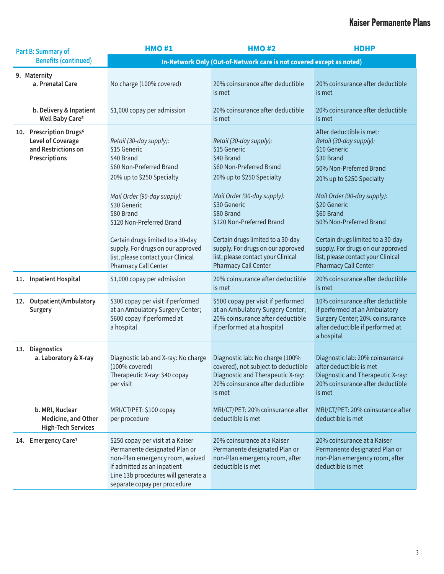| Part B: Summary of                                                                               | <b>HMO#1</b>                                                                                                                                                                                                                                                                                                                                                                                                         | <b>HMO#2</b>                                                                                                                                              | <b>HDHP</b>                                                                                                                                                                                                                       |
|--------------------------------------------------------------------------------------------------|----------------------------------------------------------------------------------------------------------------------------------------------------------------------------------------------------------------------------------------------------------------------------------------------------------------------------------------------------------------------------------------------------------------------|-----------------------------------------------------------------------------------------------------------------------------------------------------------|-----------------------------------------------------------------------------------------------------------------------------------------------------------------------------------------------------------------------------------|
| <b>Benefits (continued)</b>                                                                      |                                                                                                                                                                                                                                                                                                                                                                                                                      | In-Network Only (Out-of-Network care is not covered except as noted)                                                                                      |                                                                                                                                                                                                                                   |
| 9. Maternity<br>a. Prenatal Care<br>b. Delivery & Inpatient                                      | No charge (100% covered)<br>\$1,000 copay per admission                                                                                                                                                                                                                                                                                                                                                              | 20% coinsurance after deductible<br>is met<br>20% coinsurance after deductible                                                                            | 20% coinsurance after deductible<br>is met<br>20% coinsurance after deductible                                                                                                                                                    |
| Well Baby Care <sup>5</sup>                                                                      |                                                                                                                                                                                                                                                                                                                                                                                                                      | is met                                                                                                                                                    | is met                                                                                                                                                                                                                            |
| 10. Prescription Drugs <sup>6</sup><br>Level of Coverage<br>and Restrictions on<br>Prescriptions | Retail (30-day supply):<br>Retail (30-day supply):<br>\$15 Generic<br>\$15 Generic<br>\$40 Brand<br>\$40 Brand<br>\$60 Non-Preferred Brand<br>\$60 Non-Preferred Brand<br>20% up to \$250 Specialty<br>20% up to \$250 Specialty<br>Mail Order (90-day supply):<br>Mail Order (90-day supply):<br>\$30 Generic<br>\$30 Generic<br>\$80 Brand<br>\$80 Brand<br>\$120 Non-Preferred Brand<br>\$120 Non-Preferred Brand |                                                                                                                                                           | After deductible is met:<br>Retail (30-day supply):<br>\$10 Generic<br>\$30 Brand<br>50% Non-Preferred Brand<br>20% up to \$250 Specialty<br>Mail Order (90-day supply):<br>\$20 Generic<br>\$60 Brand<br>50% Non-Preferred Brand |
|                                                                                                  | Certain drugs limited to a 30-day<br>supply. For drugs on our approved<br>list, please contact your Clinical<br>Pharmacy Call Center                                                                                                                                                                                                                                                                                 | Certain drugs limited to a 30-day<br>supply. For drugs on our approved<br>list, please contact your Clinical<br>Pharmacy Call Center                      | Certain drugs limited to a 30-day<br>supply. For drugs on our approved<br>list, please contact your Clinical<br><b>Pharmacy Call Center</b>                                                                                       |
| 11. Inpatient Hospital                                                                           | \$1,000 copay per admission                                                                                                                                                                                                                                                                                                                                                                                          | 20% coinsurance after deductible<br>is met                                                                                                                | 20% coinsurance after deductible<br>is met                                                                                                                                                                                        |
| 12. Outpatient/Ambulatory<br>Surgery                                                             | \$300 copay per visit if performed<br>at an Ambulatory Surgery Center;<br>\$600 copay if performed at<br>a hospital                                                                                                                                                                                                                                                                                                  | \$500 copay per visit if performed<br>at an Ambulatory Surgery Center;<br>20% coinsurance after deductible<br>if performed at a hospital                  | 10% coinsurance after deductible<br>if performed at an Ambulatory<br>Surgery Center; 20% coinsurance<br>after deductible if performed at<br>a hospital                                                                            |
| 13. Diagnostics<br>a. Laboratory & X-ray                                                         | Diagnostic lab and X-ray: No charge<br>(100% covered)<br>Therapeutic X-ray: \$40 copay<br>per visit                                                                                                                                                                                                                                                                                                                  | Diagnostic lab: No charge (100%<br>covered), not subject to deductible<br>Diagnostic and Therapeutic X-ray:<br>20% coinsurance after deductible<br>is met | Diagnostic lab: 20% coinsurance<br>after deductible is met<br>Diagnostic and Therapeutic X-ray:<br>20% coinsurance after deductible<br>is met                                                                                     |
| b. MRI, Nuclear<br>Medicine, and Other<br><b>High-Tech Services</b>                              | MRI/CT/PET: \$100 copay<br>per procedure                                                                                                                                                                                                                                                                                                                                                                             | MRI/CT/PET: 20% coinsurance after<br>deductible is met                                                                                                    | MRI/CT/PET: 20% coinsurance after<br>deductible is met                                                                                                                                                                            |
| 14. Emergency Care <sup>7</sup>                                                                  | \$250 copay per visit at a Kaiser<br>Permanente designated Plan or<br>non-Plan emergency room, waived<br>if admitted as an inpatient<br>Line 13b procedures will generate a<br>separate copay per procedure                                                                                                                                                                                                          | 20% coinsurance at a Kaiser<br>Permanente designated Plan or<br>non-Plan emergency room, after<br>deductible is met                                       | 20% coinsurance at a Kaiser<br>Permanente designated Plan or<br>non-Plan emergency room, after<br>deductible is met                                                                                                               |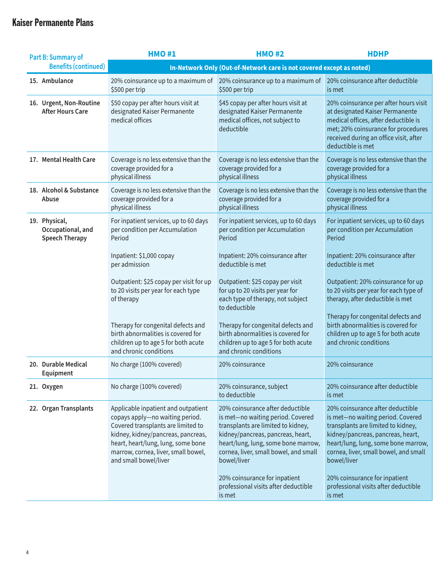| Part B: Summary of                                          | <b>HMO#1</b>                                                                                                                                                                                                                                                                                                                                                                                                                                                                                                                                                                         | <b>HMO#2</b>                                                                                                                              | <b>HDHP</b>                                                                                                                                                                                                                                                                                                              |  |  |  |
|-------------------------------------------------------------|--------------------------------------------------------------------------------------------------------------------------------------------------------------------------------------------------------------------------------------------------------------------------------------------------------------------------------------------------------------------------------------------------------------------------------------------------------------------------------------------------------------------------------------------------------------------------------------|-------------------------------------------------------------------------------------------------------------------------------------------|--------------------------------------------------------------------------------------------------------------------------------------------------------------------------------------------------------------------------------------------------------------------------------------------------------------------------|--|--|--|
| <b>Benefits (continued)</b>                                 | In-Network Only (Out-of-Network care is not covered except as noted)                                                                                                                                                                                                                                                                                                                                                                                                                                                                                                                 |                                                                                                                                           |                                                                                                                                                                                                                                                                                                                          |  |  |  |
| 15. Ambulance                                               | 20% coinsurance up to a maximum of<br>\$500 per trip                                                                                                                                                                                                                                                                                                                                                                                                                                                                                                                                 | 20% coinsurance up to a maximum of<br>\$500 per trip                                                                                      | 20% coinsurance after deductible<br>is met                                                                                                                                                                                                                                                                               |  |  |  |
| 16. Urgent, Non-Routine<br><b>After Hours Care</b>          | \$50 copay per after hours visit at<br>designated Kaiser Permanente<br>medical offices                                                                                                                                                                                                                                                                                                                                                                                                                                                                                               | \$45 copay per after hours visit at<br>designated Kaiser Permanente<br>medical offices, not subject to<br>deductible                      | 20% coinsurance per after hours visit<br>at designated Kaiser Permanente<br>medical offices, after deductible is<br>met; 20% coinsurance for procedures<br>received during an office visit, after<br>deductible is met                                                                                                   |  |  |  |
| 17. Mental Health Care                                      | Coverage is no less extensive than the<br>coverage provided for a<br>physical illness                                                                                                                                                                                                                                                                                                                                                                                                                                                                                                | Coverage is no less extensive than the<br>coverage provided for a<br>physical illness                                                     | Coverage is no less extensive than the<br>coverage provided for a<br>physical illness                                                                                                                                                                                                                                    |  |  |  |
| 18. Alcohol & Substance<br>Abuse                            | Coverage is no less extensive than the<br>coverage provided for a<br>physical illness                                                                                                                                                                                                                                                                                                                                                                                                                                                                                                | Coverage is no less extensive than the<br>coverage provided for a<br>physical illness                                                     | Coverage is no less extensive than the<br>coverage provided for a<br>physical illness                                                                                                                                                                                                                                    |  |  |  |
| 19. Physical,<br>Occupational, and<br><b>Speech Therapy</b> | For inpatient services, up to 60 days<br>per condition per Accumulation<br>Period                                                                                                                                                                                                                                                                                                                                                                                                                                                                                                    | For inpatient services, up to 60 days<br>per condition per Accumulation<br>Period                                                         | For inpatient services, up to 60 days<br>per condition per Accumulation<br>Period                                                                                                                                                                                                                                        |  |  |  |
|                                                             | Inpatient: \$1,000 copay<br>per admission                                                                                                                                                                                                                                                                                                                                                                                                                                                                                                                                            | Inpatient: 20% coinsurance after<br>deductible is met                                                                                     | Inpatient: 20% coinsurance after<br>deductible is met                                                                                                                                                                                                                                                                    |  |  |  |
|                                                             | Outpatient: \$25 copay per visit for up<br>to 20 visits per year for each type<br>of therapy                                                                                                                                                                                                                                                                                                                                                                                                                                                                                         | Outpatient: \$25 copay per visit<br>for up to 20 visits per year for<br>each type of therapy, not subject<br>to deductible                | Outpatient: 20% coinsurance for up<br>to 20 visits per year for each type of<br>therapy, after deductible is met                                                                                                                                                                                                         |  |  |  |
|                                                             | Therapy for congenital defects and<br>birth abnormalities is covered for<br>children up to age 5 for both acute<br>and chronic conditions                                                                                                                                                                                                                                                                                                                                                                                                                                            | Therapy for congenital defects and<br>birth abnormalities is covered for<br>children up to age 5 for both acute<br>and chronic conditions | Therapy for congenital defects and<br>birth abnormalities is covered for<br>children up to age 5 for both acute<br>and chronic conditions                                                                                                                                                                                |  |  |  |
| 20. Durable Medical<br>Equipment                            | No charge (100% covered)                                                                                                                                                                                                                                                                                                                                                                                                                                                                                                                                                             | 20% coinsurance                                                                                                                           | 20% coinsurance                                                                                                                                                                                                                                                                                                          |  |  |  |
| 21. Oxygen                                                  | No charge (100% covered)                                                                                                                                                                                                                                                                                                                                                                                                                                                                                                                                                             | 20% coinsurance, subject<br>to deductible                                                                                                 | 20% coinsurance after deductible<br>is met                                                                                                                                                                                                                                                                               |  |  |  |
| 22. Organ Transplants                                       | 20% coinsurance after deductible<br>Applicable inpatient and outpatient<br>is met-no waiting period. Covered<br>copays apply-no waiting period.<br>Covered transplants are limited to<br>transplants are limited to kidney,<br>kidney, kidney/pancreas, pancreas,<br>kidney/pancreas, pancreas, heart,<br>heart, heart/lung, lung, some bone<br>heart/lung, lung, some bone marrow,<br>marrow, cornea, liver, small bowel,<br>cornea, liver, small bowel, and small<br>and small bowel/liver<br>bowel/liver<br>20% coinsurance for inpatient<br>professional visits after deductible |                                                                                                                                           | 20% coinsurance after deductible<br>is met-no waiting period. Covered<br>transplants are limited to kidney,<br>kidney/pancreas, pancreas, heart,<br>heart/lung, lung, some bone marrow,<br>cornea, liver, small bowel, and small<br>bowel/liver<br>20% coinsurance for inpatient<br>professional visits after deductible |  |  |  |
|                                                             |                                                                                                                                                                                                                                                                                                                                                                                                                                                                                                                                                                                      | is met                                                                                                                                    | is met                                                                                                                                                                                                                                                                                                                   |  |  |  |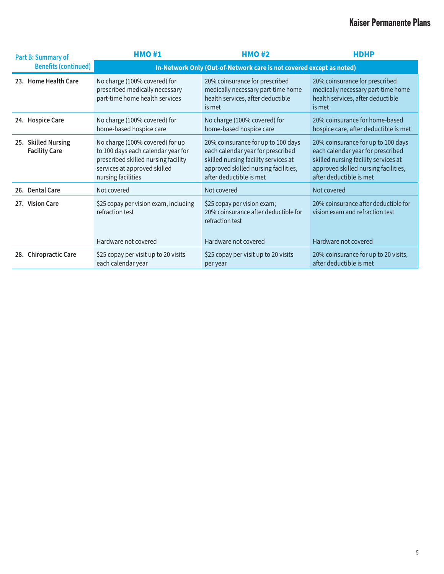| Part B: Summary of                          | <b>HMO#1</b>                                                                                                                                                       | <b>HMO#2</b>                                                                                                                                                                       | <b>HDHP</b>                                                                                                                                                                        |  |  |  |
|---------------------------------------------|--------------------------------------------------------------------------------------------------------------------------------------------------------------------|------------------------------------------------------------------------------------------------------------------------------------------------------------------------------------|------------------------------------------------------------------------------------------------------------------------------------------------------------------------------------|--|--|--|
| <b>Benefits (continued)</b>                 | In-Network Only (Out-of-Network care is not covered except as noted)                                                                                               |                                                                                                                                                                                    |                                                                                                                                                                                    |  |  |  |
| 23. Home Health Care                        | No charge (100% covered) for<br>prescribed medically necessary<br>part-time home health services                                                                   | 20% coinsurance for prescribed<br>medically necessary part-time home<br>health services, after deductible<br>is met                                                                | 20% coinsurance for prescribed<br>medically necessary part-time home<br>health services, after deductible<br>is met                                                                |  |  |  |
| 24. Hospice Care                            | No charge (100% covered) for<br>home-based hospice care                                                                                                            | No charge (100% covered) for<br>home-based hospice care                                                                                                                            | 20% coinsurance for home-based<br>hospice care, after deductible is met                                                                                                            |  |  |  |
| 25. Skilled Nursing<br><b>Facility Care</b> | No charge (100% covered) for up<br>to 100 days each calendar year for<br>prescribed skilled nursing facility<br>services at approved skilled<br>nursing facilities | 20% coinsurance for up to 100 days<br>each calendar year for prescribed<br>skilled nursing facility services at<br>approved skilled nursing facilities,<br>after deductible is met | 20% coinsurance for up to 100 days<br>each calendar year for prescribed<br>skilled nursing facility services at<br>approved skilled nursing facilities,<br>after deductible is met |  |  |  |
| 26. Dental Care                             | Not covered                                                                                                                                                        | Not covered                                                                                                                                                                        | Not covered                                                                                                                                                                        |  |  |  |
| 27. Vision Care                             | \$25 copay per vision exam, including<br>refraction test                                                                                                           | \$25 copay per vision exam;<br>20% coinsurance after deductible for<br>refraction test                                                                                             | 20% coinsurance after deductible for<br>vision exam and refraction test                                                                                                            |  |  |  |
|                                             | Hardware not covered                                                                                                                                               | Hardware not covered                                                                                                                                                               | Hardware not covered                                                                                                                                                               |  |  |  |
| 28. Chiropractic Care                       | \$25 copay per visit up to 20 visits<br>each calendar year                                                                                                         | \$25 copay per visit up to 20 visits<br>per year                                                                                                                                   | 20% coinsurance for up to 20 visits,<br>after deductible is met                                                                                                                    |  |  |  |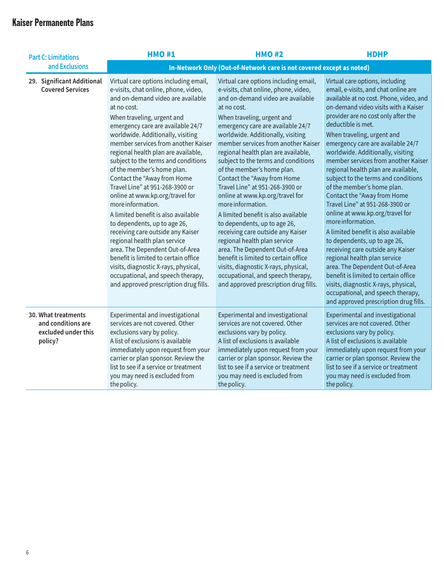| <b>Part C: Limitations</b>                                                  | <b>HMO#1</b>                                                                                                                                                                                                                                                                                                                                                                                                                                                                                                                                                                                                                                                                                                                                                                                                                                                        | <b>HMO#2</b>                                                                                                                                                                                                                                                                                                                                                                                                                                                                                                                                                                                                                                                                                                                                                                                                                                                        | <b>HDHP</b>                                                                                                                                                                                                                                                                                                                                                                                                                                                                                                                                                                                                                                                                                                                                                                                                                                                                                                                                               |
|-----------------------------------------------------------------------------|---------------------------------------------------------------------------------------------------------------------------------------------------------------------------------------------------------------------------------------------------------------------------------------------------------------------------------------------------------------------------------------------------------------------------------------------------------------------------------------------------------------------------------------------------------------------------------------------------------------------------------------------------------------------------------------------------------------------------------------------------------------------------------------------------------------------------------------------------------------------|---------------------------------------------------------------------------------------------------------------------------------------------------------------------------------------------------------------------------------------------------------------------------------------------------------------------------------------------------------------------------------------------------------------------------------------------------------------------------------------------------------------------------------------------------------------------------------------------------------------------------------------------------------------------------------------------------------------------------------------------------------------------------------------------------------------------------------------------------------------------|-----------------------------------------------------------------------------------------------------------------------------------------------------------------------------------------------------------------------------------------------------------------------------------------------------------------------------------------------------------------------------------------------------------------------------------------------------------------------------------------------------------------------------------------------------------------------------------------------------------------------------------------------------------------------------------------------------------------------------------------------------------------------------------------------------------------------------------------------------------------------------------------------------------------------------------------------------------|
| and Exclusions                                                              | In-Network Only (Out-of-Network care is not covered except as noted)                                                                                                                                                                                                                                                                                                                                                                                                                                                                                                                                                                                                                                                                                                                                                                                                |                                                                                                                                                                                                                                                                                                                                                                                                                                                                                                                                                                                                                                                                                                                                                                                                                                                                     |                                                                                                                                                                                                                                                                                                                                                                                                                                                                                                                                                                                                                                                                                                                                                                                                                                                                                                                                                           |
| 29. Significant Additional<br><b>Covered Services</b>                       | Virtual care options including email,<br>e-visits, chat online, phone, video,<br>and on-demand video are available<br>at no cost.<br>When traveling, urgent and<br>emergency care are available 24/7<br>worldwide. Additionally, visiting<br>member services from another Kaiser<br>regional health plan are available,<br>subject to the terms and conditions<br>of the member's home plan.<br>Contact the "Away from Home<br>Travel Line" at 951-268-3900 or<br>online at www.kp.org/travel for<br>more information.<br>A limited benefit is also available<br>to dependents, up to age 26,<br>receiving care outside any Kaiser<br>regional health plan service<br>area. The Dependent Out-of-Area<br>benefit is limited to certain office<br>visits, diagnostic X-rays, physical,<br>occupational, and speech therapy,<br>and approved prescription drug fills. | Virtual care options including email,<br>e-visits, chat online, phone, video,<br>and on-demand video are available<br>at no cost.<br>When traveling, urgent and<br>emergency care are available 24/7<br>worldwide. Additionally, visiting<br>member services from another Kaiser<br>regional health plan are available,<br>subject to the terms and conditions<br>of the member's home plan.<br>Contact the "Away from Home<br>Travel Line" at 951-268-3900 or<br>online at www.kp.org/travel for<br>more information.<br>A limited benefit is also available<br>to dependents, up to age 26,<br>receiving care outside any Kaiser<br>regional health plan service<br>area. The Dependent Out-of-Area<br>benefit is limited to certain office<br>visits, diagnostic X-rays, physical,<br>occupational, and speech therapy,<br>and approved prescription drug fills. | Virtual care options, including<br>email, e-visits, and chat online are<br>available at no cost. Phone, video, and<br>on-demand video visits with a Kaiser<br>provider are no cost only after the<br>deductible is met.<br>When traveling, urgent and<br>emergency care are available 24/7<br>worldwide. Additionally, visiting<br>member services from another Kaiser<br>regional health plan are available,<br>subject to the terms and conditions<br>of the member's home plan.<br>Contact the "Away from Home<br>Travel Line" at 951-268-3900 or<br>online at www.kp.org/travel for<br>more information.<br>A limited benefit is also available<br>to dependents, up to age 26,<br>receiving care outside any Kaiser<br>regional health plan service<br>area. The Dependent Out-of-Area<br>benefit is limited to certain office<br>visits, diagnostic X-rays, physical,<br>occupational, and speech therapy,<br>and approved prescription drug fills. |
| 30. What treatments<br>and conditions are<br>excluded under this<br>policy? | Experimental and investigational<br>services are not covered. Other<br>exclusions vary by policy.<br>A list of exclusions is available<br>immediately upon request from your<br>carrier or plan sponsor. Review the<br>list to see if a service or treatment<br>you may need is excluded from<br>the policy.                                                                                                                                                                                                                                                                                                                                                                                                                                                                                                                                                        | Experimental and investigational<br>services are not covered. Other<br>exclusions vary by policy.<br>A list of exclusions is available<br>immediately upon request from your<br>carrier or plan sponsor. Review the<br>list to see if a service or treatment<br>you may need is excluded from<br>the policy.                                                                                                                                                                                                                                                                                                                                                                                                                                                                                                                                                        | Experimental and investigational<br>services are not covered. Other<br>exclusions vary by policy.<br>A list of exclusions is available<br>immediately upon request from your<br>carrier or plan sponsor. Review the<br>list to see if a service or treatment<br>you may need is excluded from<br>the policy.                                                                                                                                                                                                                                                                                                                                                                                                                                                                                                                                                                                                                                              |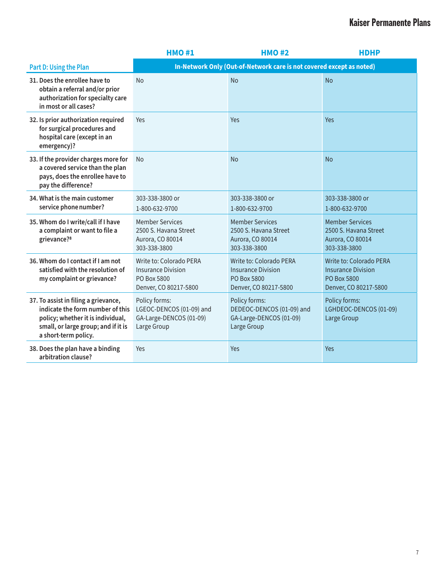|                                                                                                                                                                              | <b>HMO#1</b>                                                                                 | <b>HDHP</b>                                                                                  |                                                                                                     |  |  |
|------------------------------------------------------------------------------------------------------------------------------------------------------------------------------|----------------------------------------------------------------------------------------------|----------------------------------------------------------------------------------------------|-----------------------------------------------------------------------------------------------------|--|--|
| Part D: Using the Plan                                                                                                                                                       |                                                                                              | In-Network Only (Out-of-Network care is not covered except as noted)                         |                                                                                                     |  |  |
| 31. Does the enrollee have to<br>obtain a referral and/or prior<br>authorization for specialty care<br>in most or all cases?                                                 | No                                                                                           | <b>No</b>                                                                                    | <b>No</b>                                                                                           |  |  |
| 32. Is prior authorization required<br>for surgical procedures and<br>hospital care (except in an<br>emergency)?                                                             | <b>Yes</b><br>Yes<br>Yes                                                                     |                                                                                              |                                                                                                     |  |  |
| 33. If the provider charges more for<br>a covered service than the plan<br>pays, does the enrollee have to<br>pay the difference?                                            | <b>No</b>                                                                                    | <b>No</b>                                                                                    | <b>No</b>                                                                                           |  |  |
| 34. What is the main customer<br>service phone number?                                                                                                                       | 303-338-3800 or<br>1-800-632-9700                                                            | 303-338-3800 or<br>1-800-632-9700                                                            | 303-338-3800 or<br>1-800-632-9700                                                                   |  |  |
| 35. Whom do I write/call if I have<br>a complaint or want to file a<br>grievance? <sup>8</sup>                                                                               | <b>Member Services</b><br>2500 S. Havana Street<br>Aurora, CO 80014<br>303-338-3800          | <b>Member Services</b><br>2500 S. Havana Street<br>Aurora, CO 80014<br>303-338-3800          | <b>Member Services</b><br>2500 S. Havana Street<br>Aurora, CO 80014<br>303-338-3800                 |  |  |
| 36. Whom do I contact if I am not<br>satisfied with the resolution of<br>my complaint or grievance?                                                                          | Write to: Colorado PERA<br><b>Insurance Division</b><br>PO Box 5800<br>Denver, CO 80217-5800 | Write to: Colorado PERA<br><b>Insurance Division</b><br>PO Box 5800<br>Denver, CO 80217-5800 | <b>Write to: Colorado PERA</b><br><b>Insurance Division</b><br>PO Box 5800<br>Denver, CO 80217-5800 |  |  |
| 37. To assist in filing a grievance,<br>indicate the form number of this<br>policy; whether it is individual,<br>small, or large group; and if it is<br>a short-term policy. | Policy forms:<br>LGEOC-DENCOS (01-09) and<br>GA-Large-DENCOS (01-09)<br>Large Group          | Policy forms:<br>DEDEOC-DENCOS (01-09) and<br>GA-Large-DENCOS (01-09)<br>Large Group         | Policy forms:<br>LGHDEOC-DENCOS (01-09)<br>Large Group                                              |  |  |
| 38. Does the plan have a binding<br>arbitration clause?                                                                                                                      | Yes                                                                                          | Yes                                                                                          | Yes                                                                                                 |  |  |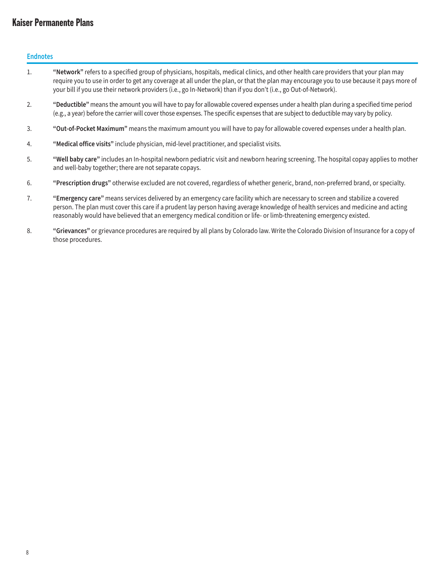**Endnotes**

- 1. **"Network"** refers to a specified group of physicians, hospitals, medical clinics, and other health care providers that your plan may require you to use in order to get any coverage at all under the plan, or that the plan may encourage you to use because it pays more of your bill if you use their network providers (i.e., go In-Network) than if you don't (i.e., go Out-of-Network).
- 2. **"Deductible"** means the amount you will have to pay for allowable covered expenses under a health plan during a specified time period (e.g., a year) before the carrier will cover those expenses. The specific expenses that are subject to deductible may vary by policy.
- 3. **"Out-of-Pocket Maximum"** means the maximum amount you will have to pay for allowable covered expenses under a health plan.
- 4. **"Medical office visits"** include physician, mid-level practitioner, and specialist visits.
- 5. **"Well baby care"** includes an In-hospital newborn pediatric visit and newborn hearing screening. The hospital copay applies to mother and well-baby together; there are not separate copays.
- 6. **"Prescription drugs"** otherwise excluded are not covered, regardless of whether generic, brand, non-preferred brand, or specialty.
- 7. **"Emergency care"** means services delivered by an emergency care facility which are necessary to screen and stabilize a covered person. The plan must cover this care if a prudent lay person having average knowledge of health services and medicine and acting reasonably would have believed that an emergency medical condition or life- or limb-threatening emergency existed.
- 8. **"Grievances"** or grievance procedures are required by all plans by Colorado law. Write the Colorado Division of Insurance for a copy of those procedures.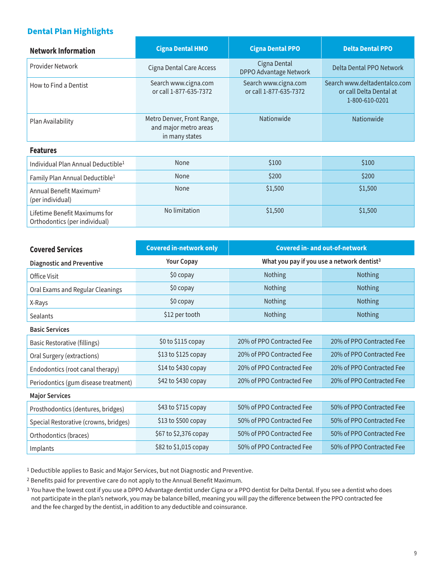## **Dental Plan Highlights**

| <b>Network Information</b>                                     | <b>Cigna Dental HMO</b>                                                                          | <b>Cigna Dental PPO</b>                | <b>Delta Dental PPO</b>                                                   |
|----------------------------------------------------------------|--------------------------------------------------------------------------------------------------|----------------------------------------|---------------------------------------------------------------------------|
| Provider Network                                               | <b>Cigna Dental Care Access</b>                                                                  | Cigna Dental<br>DPPO Advantage Network | Delta Dental PPO Network                                                  |
| How to Find a Dentist                                          | Search www.cigna.com<br>Search www.cigna.com<br>or call 1-877-635-7372<br>or call 1-877-635-7372 |                                        | Search www.deltadentalco.com<br>or call Delta Dental at<br>1-800-610-0201 |
| Plan Availability                                              | Nationwide<br>Metro Denver, Front Range,<br>and major metro areas<br>in many states              |                                        | Nationwide                                                                |
| <b>Features</b>                                                |                                                                                                  |                                        |                                                                           |
| Individual Plan Annual Deductible <sup>1</sup>                 | None                                                                                             | \$100                                  | \$100                                                                     |
| Family Plan Annual Deductible <sup>1</sup>                     | None                                                                                             | \$200                                  | \$200                                                                     |
| Annual Benefit Maximum <sup>2</sup><br>(per individual)        | None                                                                                             | \$1,500                                | \$1,500                                                                   |
| Lifetime Benefit Maximums for<br>Orthodontics (per individual) | No limitation                                                                                    | \$1,500                                | \$1,500                                                                   |

| <b>Covered Services</b>               | <b>Covered in-network only</b> | <b>Covered in- and out-of-network</b>                  |                           |  |
|---------------------------------------|--------------------------------|--------------------------------------------------------|---------------------------|--|
| <b>Diagnostic and Preventive</b>      | <b>Your Copay</b>              | What you pay if you use a network dentist <sup>3</sup> |                           |  |
| Office Visit                          | \$0 copay                      | <b>Nothing</b>                                         | <b>Nothing</b>            |  |
| Oral Exams and Regular Cleanings      | \$0 copay                      | Nothing                                                | Nothing                   |  |
| X-Rays                                | \$0 copay                      | Nothing                                                | Nothing                   |  |
| <b>Sealants</b>                       | \$12 per tooth                 | Nothing                                                | <b>Nothing</b>            |  |
| <b>Basic Services</b>                 |                                |                                                        |                           |  |
| Basic Restorative (fillings)          | \$0 to \$115 copay             | 20% of PPO Contracted Fee                              | 20% of PPO Contracted Fee |  |
| Oral Surgery (extractions)            | \$13 to \$125 copay            | 20% of PPO Contracted Fee                              | 20% of PPO Contracted Fee |  |
| Endodontics (root canal therapy)      | \$14 to \$430 copay            | 20% of PPO Contracted Fee                              | 20% of PPO Contracted Fee |  |
| Periodontics (gum disease treatment)  | \$42 to \$430 copay            | 20% of PPO Contracted Fee                              | 20% of PPO Contracted Fee |  |
| <b>Major Services</b>                 |                                |                                                        |                           |  |
| Prosthodontics (dentures, bridges)    | \$43 to \$715 copay            | 50% of PPO Contracted Fee                              | 50% of PPO Contracted Fee |  |
| Special Restorative (crowns, bridges) | \$13 to \$500 copay            | 50% of PPO Contracted Fee                              | 50% of PPO Contracted Fee |  |
| Orthodontics (braces)                 | \$67 to \$2,376 copay          | 50% of PPO Contracted Fee                              | 50% of PPO Contracted Fee |  |
| Implants                              | \$82 to \$1,015 copay          | 50% of PPO Contracted Fee                              | 50% of PPO Contracted Fee |  |

1 Deductible applies to Basic and Major Services, but not Diagnostic and Preventive.

2 Benefits paid for preventive care do not apply to the Annual Benefit Maximum.

3 You have the lowest cost if you use a DPPO Advantage dentist under Cigna or a PPO dentist for Delta Dental. If you see a dentist who does not participate in the plan's network, you may be balance billed, meaning you will pay the difference between the PPO contracted fee and the fee charged by the dentist, in addition to any deductible and coinsurance.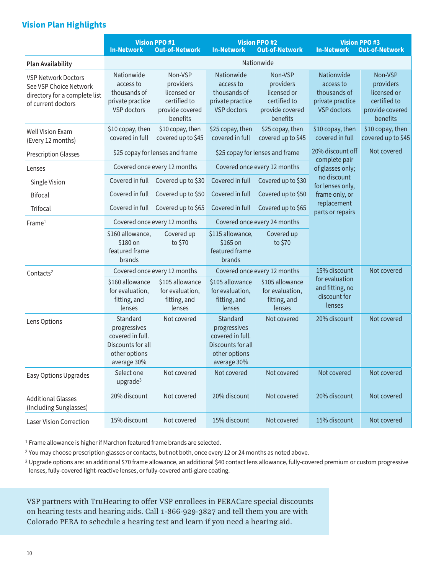## **Vision Plan Highlights**

|                                                                                                             | <b>In-Network</b>                                                                                 | <b>Vision PPO #1</b><br><b>Out-of-Network</b>                                      | <b>In-Network</b>                                                                                 | <b>Vision PPO #2</b><br><b>Out-of-Network</b>                                      | <b>In-Network</b>                                                                 | <b>Vision PPO #3</b><br><b>Out-of-Network</b>                                      |  |
|-------------------------------------------------------------------------------------------------------------|---------------------------------------------------------------------------------------------------|------------------------------------------------------------------------------------|---------------------------------------------------------------------------------------------------|------------------------------------------------------------------------------------|-----------------------------------------------------------------------------------|------------------------------------------------------------------------------------|--|
| <b>Plan Availability</b>                                                                                    |                                                                                                   |                                                                                    |                                                                                                   | Nationwide                                                                         |                                                                                   |                                                                                    |  |
| <b>VSP Network Doctors</b><br>See VSP Choice Network<br>directory for a complete list<br>of current doctors | Nationwide<br>access to<br>thousands of<br>private practice<br>VSP doctors                        | Non-VSP<br>providers<br>licensed or<br>certified to<br>provide covered<br>benefits | Nationwide<br>access to<br>thousands of<br>private practice<br><b>VSP</b> doctors                 | Non-VSP<br>providers<br>licensed or<br>certified to<br>provide covered<br>benefits | Nationwide<br>access to<br>thousands of<br>private practice<br><b>VSP</b> doctors | Non-VSP<br>providers<br>licensed or<br>certified to<br>provide covered<br>benefits |  |
| <b>Well Vision Exam</b><br>(Every 12 months)                                                                | \$10 copay, then<br>covered in full                                                               | \$10 copay, then<br>covered up to \$45                                             | \$25 copay, then<br>covered in full                                                               | \$25 copay, then<br>covered up to \$45                                             | \$10 copay, then<br>covered in full                                               | \$10 copay, then<br>covered up to \$45                                             |  |
| <b>Prescription Glasses</b>                                                                                 |                                                                                                   | \$25 copay for lenses and frame                                                    |                                                                                                   | \$25 copay for lenses and frame                                                    | 20% discount off                                                                  | Not covered                                                                        |  |
| Lenses                                                                                                      |                                                                                                   | Covered once every 12 months                                                       |                                                                                                   | Covered once every 12 months                                                       | complete pair<br>of glasses only;                                                 |                                                                                    |  |
| Single Vision                                                                                               |                                                                                                   | Covered in full Covered up to \$30                                                 | Covered in full                                                                                   | Covered up to \$30                                                                 | no discount<br>for lenses only,                                                   |                                                                                    |  |
| <b>Bifocal</b>                                                                                              | Covered in full                                                                                   | Covered up to \$50                                                                 | Covered in full                                                                                   | Covered up to \$50                                                                 | frame only, or                                                                    |                                                                                    |  |
| Trifocal                                                                                                    |                                                                                                   | Covered in full Covered up to \$65                                                 | Covered in full                                                                                   | Covered up to \$65                                                                 | replacement<br>parts or repairs                                                   |                                                                                    |  |
| Frame <sup>1</sup>                                                                                          |                                                                                                   | Covered once every 12 months                                                       |                                                                                                   | Covered once every 24 months                                                       |                                                                                   |                                                                                    |  |
|                                                                                                             | \$160 allowance,<br>\$180 on<br>featured frame<br>brands                                          | Covered up<br>to \$70                                                              | \$115 allowance,<br>\$165 on<br>featured frame<br>brands                                          | Covered up<br>to \$70                                                              |                                                                                   |                                                                                    |  |
| Contacts <sup>2</sup>                                                                                       |                                                                                                   | Covered once every 12 months                                                       | Covered once every 12 months                                                                      |                                                                                    | 15% discount                                                                      | Not covered                                                                        |  |
|                                                                                                             | \$160 allowance<br>for evaluation,<br>fitting, and<br>lenses                                      | \$105 allowance<br>for evaluation,<br>fitting, and<br>lenses                       | \$105 allowance<br>for evaluation,<br>fitting, and<br>lenses                                      | \$105 allowance<br>for evaluation,<br>fitting, and<br>lenses                       | for evaluation<br>and fitting, no<br>discount for<br>lenses                       |                                                                                    |  |
| Lens Options                                                                                                | Standard<br>progressives<br>covered in full.<br>Discounts for all<br>other options<br>average 30% | Not covered                                                                        | Standard<br>progressives<br>covered in full.<br>Discounts for all<br>other options<br>average 30% | Not covered                                                                        | 20% discount                                                                      | Not covered                                                                        |  |
| Easy Options Upgrades                                                                                       | Select one<br>upgrade $3$                                                                         | Not covered                                                                        | Not covered                                                                                       | Not covered                                                                        | Not covered                                                                       | Not covered                                                                        |  |
| <b>Additional Glasses</b><br>(Including Sunglasses)                                                         | 20% discount                                                                                      | Not covered                                                                        | 20% discount                                                                                      | Not covered                                                                        | 20% discount                                                                      | Not covered                                                                        |  |
| <b>Laser Vision Correction</b>                                                                              | 15% discount                                                                                      | Not covered                                                                        | 15% discount                                                                                      | Not covered                                                                        | 15% discount                                                                      | Not covered                                                                        |  |

1 Frame allowance is higher if Marchon featured frame brands are selected.

<sup>2</sup> You may choose prescription glasses or contacts, but not both, once every 12 or 24 months as noted above.

3 Upgrade options are: an additional \$70 frame allowance, an additional \$40 contact lens allowance, fully-covered premium or custom progressive lenses, fully-covered light-reactive lenses, or fully-covered anti-glare coating.

VSP partners with TruHearing to offer VSP enrollees in PERACare special discounts on hearing tests and hearing aids. Call 1-866-929-3827 and tell them you are with Colorado PERA to schedule a hearing test and learn if you need a hearing aid.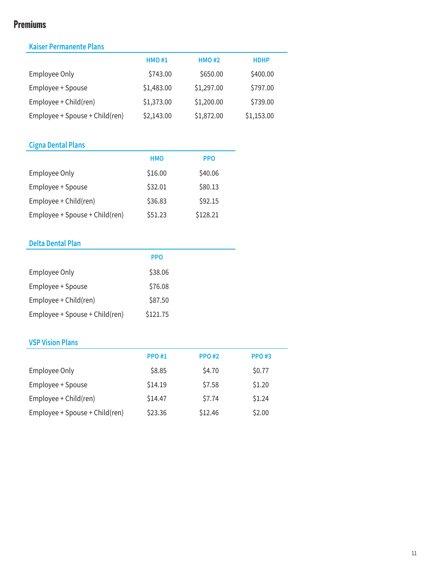# **Premiums**

# **Kaiser Permanente Plans**

| <b>HMO#1</b> | <b>HMO#2</b> | <b>HDHP</b> |
|--------------|--------------|-------------|
| \$743.00     | \$650.00     | \$400.00    |
| \$1,483.00   | \$1,297.00   | \$797.00    |
| \$1,373.00   | \$1,200.00   | \$739.00    |
| \$2,143.00   | \$1,872.00   | \$1,153.00  |
|              |              |             |

# **Cigna Dental Plans**

|                                | <b>HMO</b> | <b>PPO</b> |
|--------------------------------|------------|------------|
| Employee Only                  | \$16.00    | \$40.06    |
| Employee + Spouse              | \$32.01    | \$80.13    |
| Employee + Child(ren)          | \$36.83    | \$92.15    |
| Employee + Spouse + Child(ren) | \$51.23    | \$128.21   |

## **Delta Dental Plan**

|                                | <b>PPO</b> |  |
|--------------------------------|------------|--|
| Employee Only                  | \$38.06    |  |
| Employee + Spouse              | \$76.08    |  |
| Employee + Child(ren)          | \$87.50    |  |
| Employee + Spouse + Child(ren) | \$121.75   |  |

# **VSP Vision Plans**

|                                | <b>PPO#1</b> | <b>PPO#2</b> | <b>PPO#3</b> |
|--------------------------------|--------------|--------------|--------------|
| Employee Only                  | \$8.85       | \$4.70       | \$0.77       |
| Employee + Spouse              | \$14.19      | \$7.58       | \$1.20       |
| Employee + Child(ren)          | \$14.47      | \$7.74       | \$1.24       |
| Employee + Spouse + Child(ren) | \$23.36      | \$12.46      | \$2.00       |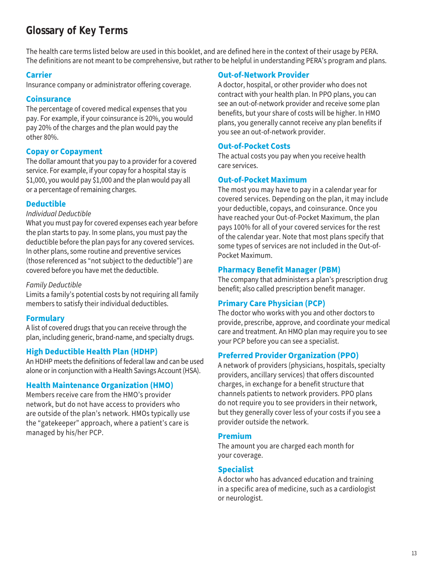# **Glossary of Key Terms**

The health care terms listed below are used in this booklet, and are defined here in the context of their usage by PERA. The definitions are not meant to be comprehensive, but rather to be helpful in understanding PERA's program and plans.

### **Carrier**

Insurance company or administrator offering coverage.

### **Coinsurance**

The percentage of covered medical expenses that you pay. For example, if your coinsurance is 20%, you would pay 20% of the charges and the plan would pay the other 80%.

## **Copay or Copayment**

The dollar amount that you pay to a provider for a covered service. For example, if your copay for a hospital stay is \$1,000, you would pay \$1,000 and the plan would pay all or a percentage of remaining charges.

## **Deductible**

#### *Individual Deductible*

What you must pay for covered expenses each year before the plan starts to pay. In some plans, you must pay the deductible before the plan pays for any covered services. In other plans, some routine and preventive services (those referenced as "not subject to the deductible") are covered before you have met the deductible.

### *Family Deductible*

Limits a family's potential costs by not requiring all family members to satisfy their individual deductibles.

## **Formulary**

A list of covered drugs that you can receive through the plan, including generic, brand-name, and specialty drugs.

## **High Deductible Health Plan (HDHP)**

An HDHP meets the definitions of federal law and can be used alone or in conjunction with a Health Savings Account (HSA).

## **Health Maintenance Organization (HMO)**

Members receive care from the HMO's provider network, but do not have access to providers who are outside of the plan's network. HMOs typically use the "gatekeeper" approach, where a patient's care is managed by his/her PCP.

#### **Out-of-Network Provider**

A doctor, hospital, or other provider who does not contract with your health plan. In PPO plans, you can see an out-of-network provider and receive some plan benefits, but your share of costs will be higher. In HMO plans, you generally cannot receive any plan benefits if you see an out-of-network provider.

### **Out-of-Pocket Costs**

The actual costs you pay when you receive health care services.

### **Out-of-Pocket Maximum**

The most you may have to pay in a calendar year for covered services. Depending on the plan, it may include your deductible, copays, and coinsurance. Once you have reached your Out-of-Pocket Maximum, the plan pays 100% for all of your covered services for the rest of the calendar year. Note that most plans specify that some types of services are not included in the Out-of-Pocket Maximum.

### **Pharmacy Benefit Manager (PBM)**

The company that administers a plan's prescription drug benefit; also called prescription benefit manager.

## **Primary Care Physician (PCP)**

The doctor who works with you and other doctors to provide, prescribe, approve, and coordinate your medical care and treatment. An HMO plan may require you to see your PCP before you can see a specialist.

### **Preferred Provider Organization (PPO)**

A network of providers (physicians, hospitals, specialty providers, ancillary services) that offers discounted charges, in exchange for a benefit structure that channels patients to network providers. PPO plans do not require you to see providers in their network, but they generally cover less of your costs if you see a provider outside the network.

### **Premium**

The amount you are charged each month for your coverage.

### **Specialist**

A doctor who has advanced education and training in a specific area of medicine, such as a cardiologist or neurologist.